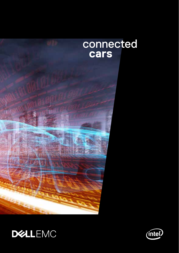



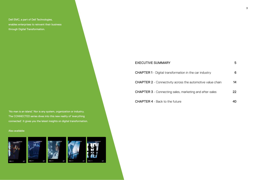Dell EMC, a part of Dell Technologies, enables enterprises to reinvent their business through Digital Transformation.

'No man is an island.' Nor is any system, organization or industry. The CONNECTED series dives into this new reality of 'everything [connected'. It gives you the latest insights on digital transformation.](https://www.dellemc.com/content/dam/uwaem/production-design-assets/en-gb/ConnectedCIO/ConnectedCIO-Printableversion.pdf) 

#### Also available:



| <b>EXECUTIVE SUMMARY</b>                                          | 5  |
|-------------------------------------------------------------------|----|
| <b>CHAPTER 1</b> - Digital transformation in the car industry     | 6  |
| <b>CHAPTER 2</b> - Connectivity across the automotive value chain | 14 |
| <b>CHAPTER 3</b> - Connecting sales, marketing and after-sales    | 22 |
| <b>CHAPTER 4</b> - Back to the future                             |    |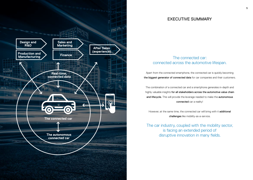

## EXECUTIVE SUMMARY

## The connected car: connected across the automotive lifespan.

Apart from the connected smartphone, the connected car is quickly becoming the biggest generator of connected data for car companies and their customers.

The combination of a connected car and a smartphone generates in-depth and highly valuable insights for all stakeholders across the automotive value chain and lifecycle. This will provide the leverage needed to make the autonomous connected car a reality!

However, at the same time, the connected car will bring with it additional challenges like mobility-as-a-service.

The car industry, coupled with the mobility sector, is facing an extended period of disruptive innovation in many fields.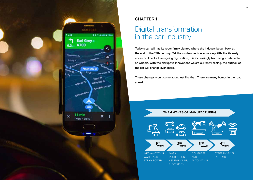

## CHAPTER 1

# Digital transformation in the car industry

Today's car still has its roots firmly planted where the industry began back at the end of the 19th century. Yet the modern vehicle looks very little like its early ancestor. Thanks to on-going digitization, it is increasingly becoming a datacenter on wheels. With the disruptive innovations we are currently seeing, the outlook of the car will change even more.

These changes won't come about just like that. There are many bumps in the road ahead.

#### **THE 4 WAVES OF MANUFACTURING**

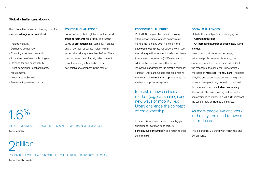The automotive industry is bracing itself for a very challenging future indeed:

- **•** Political volatility
- **•** Disruptive competition
- **•** Changing customer demands
- **•** An avalanche of new technologies
- **•** Demand for eco-sustainability
- **•** Strict compliance, legal and safety requirements
- **•** Mobility-as-a-Service
- **•** From owning to sharing a car

# 1.6%

THE AUTOMOTIVE SECTOR ACCOUNTS FOR AN ESTIMATED 1.6% OF GLOBAL GDP. Source: McKinsey

# billion

BY 2035, THERE WILL BE AROUND 2 BILLION VEHICLES ON OUR ROADS WORLDWIDE.

Source: Green Car Reports

#### **POLITICAL CHALLENGES**

For an industry that is global by nature, world trade agreements are crucial. The recent surge of **protectionism** in some key markets and a new level of political volatility may impact the industry more than before. There is an increased need for original equipment manufacturers (OEMs) to build local partnerships to compete in the market.

#### **ECONOMIC CHALLENGES**

Post 2008, the global economic recovery offers opportunities for auto companies in mature markets and even more so in the developing countries. Yet below the surface, the industry still faces tough challenges. Lower total shareholder returns (TSR) may lead to additional consolidations in the future. Innovative car designers like electric carmaker Faraday Future and Google cars are entering the market while tech start-ups challenge the traditional supplier ecosystem.

Interest in new business models (e.g. car sharing) and new ways of mobility (e.g. Uber) challenge the concept of car ownership.

In time, this may even prove to be a bigger challenge for car manufacturers. Will conspicuous consumption be enough to keep car sales high?

#### **SOCIAL CHALLENGES**

Globally, the social pyramid is changing due to:

- **•** Ageing populations
- **•** An increasing number of people now living in cities.

Inner cities continue to tax car usage, yet where public transport is lacking, car ownership remains a necessary part of life. In the meantime, the consumer is increasingly interested in more eco-friendly cars. The share of hybrid and electric cars continues to grow be it slower than previously desired or predicted. At the same time, the **middle class** in many developed nations is declining as the wealth gap continues to widen. This will further impact the type of cars desired by the market.

## As more people live and work in the city, the need to own a car reduces.

This is particularly a trend with Millennials and Generation Z.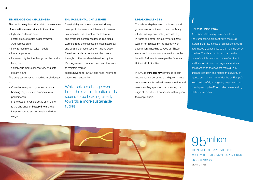#### **TECHNOLOGICAL CHALLENGES**

The car industry is on the brink of a new wave of innovation unseen since its inception.

- **•** Hybrid and electric cars
- **•** Faster product cycles & deployments
- **•** Autonomous cars
- **•** New (e-commerce) sales models
- **•** In-car app stores
- Increased digitization throughout the product life cycle
- **•** Continuous mobile connectivity and data stream inputs

This progress comes with additional challenges too.

- **•** Consider safety and cyber security: car hacking may very well become a new phenomenon.
- **•** In the case of hybrid/electric cars, there is the challenge of **battery life** and the infrastructure to support scale and wider usage.

#### **ENVIRONMENTAL CHALLENGES**

Sustainability and the automotive industry have yet to become a match made in heaven. Just consider the recent in-car software and emissions compliance issues. But global warming (and the subsequent legal measures) and declining oil reserves aren't going away. Emission standards continue to be lowered throughout the world as determined by the Paris Agreement. Car manufacturers that want to maintain market

access have to follow suit and need insights to effectively manage this.

While policies change over time, the overall direction stills seems to be heading clearly towards a more sustainable future.

#### **LEGAL CHALLENGES**

The relationship between the industry and governments continues to be close. Many efforts, like improved safety and visibility in traffic and better air quality for citizens, were often initiated by the industry with governments needing to keep up. These steps result in mandatory regulations to the benefit of all, see for example the European Union's eCall directive.

In turn, as **transparency** continues to gain importance for consumers and governments, companies are forced to increase the time and resources they spend on documenting the origin of the different components throughout the supply chain.

#### **HELP IS UNDERWAY**

*i*

As of April 2018, every new car sold in the European Union must have the eCall system installed. In case of an accident, eCall automatically sends data to the 112 emergency number. The data that is sent can be the type of vehicle, fuel used, time of accident and location. As such, emergency services can respond to the incident more quickly and appropriately, and reduce the severity of injuries and the number of deaths on Europe's roads. With eCall, emergency response times could speed up by 40% in urban areas and by 50% in rural areas.



# 95million

THE NUMBER OF CARS PRODUCED WORLDWIDE IN 2016. A 55% INCREASE SINCE CRISIS YEAR 2009. Source: Oica.net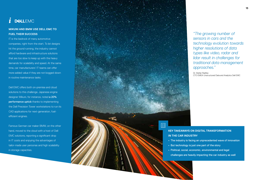#### *i* **DELLEMC**

## **MIKUNI AND BMW USE DELL EMC TO FUEL THEIR SUCCESS**

IT is the bedrock of many automotive companies, right from the start. To let designs hit the ground running, the industry cannot afford hardware and infrastructure solutions that are too slow to keep up with the heavy demands for scalability and speed. At the same time, car manufacturers' IT teams can offer more added value if they are not bogged down in routine maintenance tasks.

Dell EMC offers both on-premise and cloud solutions to this challenge. Japanese engine designer Mikuni, for instance, noted a 20% performance uptick thanks to implementing the Dell Precision Tower workstations to run its CAD applications for next-generation, fuelefficient engines.

Famous German car maker BMW, on the other hand, moved to the cloud with a host of Dell EMC solutions, reporting a significant drop in IT costs and enjoying the advantages of tailor-made user personas and high scalability in storage capacities.



*"The growing number of sensors in cars and the technology evolution towards higher resolutions of data types like video, radar and lidar result in challenges for traditional data management approaches."* 

Dr. Stefan Radtke CTO EMEA Unstructured Data and Analytics Dell EMC

### **KEY TAKEAWAYS ON DIGITAL TRANSFORMATION IN THE CAR INDUSTRY**

- **•** The industry is facing an unprecedented wave of innovation
- **•** But technology is just one part of the story
- **•** Political, social, economic, environmental and legal challenges are heavily impacting the car industry as well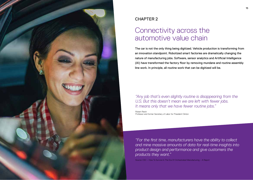

## CHAPTER 2

# Connectivity across the automotive value chain

The car is not the only thing being digitized. Vehicle production is transforming from an innovation standpoint. Robotized smart factories are dramatically changing the nature of manufacturing jobs. Software, sensor analytics and Artificial Intelligence (AI) have transformed the factory floor by removing mundane and routine assembly line work. In principle, all routine work that can be digitized will be.

## *"Any job that's even slightly routine is disappearing from the U.S. But this doesn't mean we are left with fewer jobs. It means only that we have fewer routine jobs."*

Robert Reich Professor and former Secretary of Labor for President Clinton

*"For the first time, manufacturers have the ability to collect and mine massive amounts of data for real-time insights into product design and performance and give customers the products they want."*

Source: CSC – How To Survive In The Era Of Orchestrated Manufacturing – A Report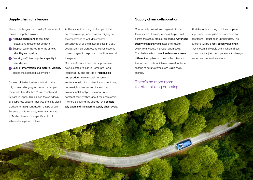The top challenges the industry faces when it comes to supply chain are:

- **1** Aligning operations to real-time fluctuations in customer demand
- **2** Supplier performance in terms of risk, reliability and quality
- **3** Ensuring sufficient supplier capacity to meet demand
- **4** Lack of information and material visibility across the extended supply chain

Ongoing globalization has made all of this only more challenging. A dramatic example came with the March 2011 earthquake and tsunami in Japan. This caused the shutdown of a Japanese supplier that was the only global producer of a pigment used in a type of paint. Because of this instance, major automotive OEMs had to restrict a specific color of vehicles for a period of time.

At the same time, the global scope of the automotive supply chain has also highlighted the importance of well-documented provenance of all the materials used in a car. Legislation in different countries has become more stringent in response to conflicts around the globe.

Car manufacturers and their suppliers are now expected to lead in Corporate Social Responsibility and provide a 'responsible' end-product from a social, human and environmental point of view. Labor conditions, human rights, business ethics and the environmental footprint are now under constant scrutiny throughout the entire chain. This too is pushing the agenda for a completely open and transparent supply chain cycle.

### **Supply chain collaboration**

Connectivity doesn't just begin within the factory walls. It already comes into play well before the actual production begins. Advanced supply chain analytics steer the industry away from reactive management models. The challenge is to combine data from many different suppliers into one unified view, as the focus shifts from internal cross-functional sharing of data towards cross-value chain sharing.

## There's no more room for silo-thinking or acting.

All stakeholders throughout the complete supply chain – suppliers, procurement, and operations – must open up their data. The outcome will be a fact-based value chain that is open and visible and in which all can pro-actively adjust their operations to changing market and demand situations.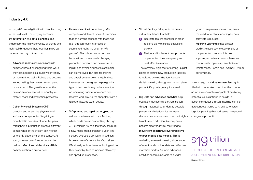## **Industry 4.0**

Industry 4.0 takes digitization in manufacturing to the next level. The unifying elements are automation and data exchange. But underneath this is a wide variety of trends and technical disruptions that, together, make up the smart factory of tomorrow:

- **•** Advanced robots can work alongside humans without endangering them while they can also handle a much wider variety of more refined tasks. Robots also become leaner, making them easier to set up and move around. This greatly reduces the time and money needed to reconfigure factory floors and production processes.
- **•** Cyber-Physical Systems (CPS) combine and intertwine physical and software components. By gaining a more holistic overview of what happens throughout a production process, different components of the system can interact differently, depending on the context. As such, smarter use of resources can be realized. Machine-to-Machine (M2M) communication is crucial here.
- **•** Human-machine interaction (HMI) comprises of different types of interfaces that let humans connect with machines (e.g. through touch interfaces or augmented reality via smart or VR glasses). This is how production can be monitored more closely, changing production demands can be met more rapidly and overall diagnostics and alerts can be improved. But also for training and overall assistance on the job, these interfaces can be a great help (e.g. what type of bolt needs to go where exactly). An increasing number of modern day laborers work around the shop floor with a tablet or likewise touch device.
- **•** 3-D printing and rapid prototyping can reduce time to market. Local Motors, which builds cars almost entirely through 3-D printing in its 'mini factories', can build a new model from scratch in a year. The industry average is six years. In addition, large car manufacturers like Vauxhall and GM already include these technologies into their assembly lines to increase efficiency and speed up production.
- **•** Virtual Factory (VF) platforms create virtual simulations that help:
	- **<sup>1</sup>** Replicate real life scenarios in order to come up with suitable solutions quickly,
	- **2** Design and implement new products or production lines in a speedy and cost effective manner.

The extremely high cost of setting up pilot plants or testing new production facilities is replaced by virtualization. As such, decision-making throughout the complete product lifecycle is greatly improved.

**•** Big Data and advanced analytics help operation managers and others plough through historical data, identify possible patterns and relationships between discrete process steps and use the insights to optimize production. As companies become smarter at this, they tend to move from descriptive over predictive to prescriptive data models. This is fuelled by an ever-increasing abundance of real-time shop-floor data and effective statistical models. As more advanced analytics become available to a wider

group of employees across companies, the need for custom reporting by data scientists is reduced.

**Machine Learning brings greater** predictive accuracy to every phase of the production process. It is used to improve yield rates at various levels and continuously improves preventative and Maintenance, Repair, and Overhaul (MRO) performance.

In summary, the **ultimate smart factory** is filled with networked machines that create an intuitive ecosystem capable of predicting potential issues upfront. In parallel, it becomes smarter through machine learning, autocorrects thanks to AI and automates logistics planning that addresses unexpected changes in production.

THE FORECASTED TOTAL ECONOMIC VALUE ADDED BY IOT ACROSS INDUSTRIES IN 2020. Source: Gartner

trillion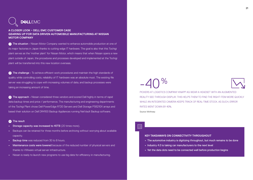## **DEALLEMC**

**A CLOSER LOOK – DELL EMC CUSTOMER CASE GEARING UP FOR DATA DRIVEN AUTOMOBILE MANUFACTURING AT NISSAN MOTOR COMPANY**

**1** The situation - Nissan Motor Company wanted to enhance automobile production at one of its major factories in Japan thanks to cutting-edge IT hardware. The goal is also that this Tochigi plant serves as the 'mother plant' for Nissan Motor, which means that when Nissan opens a new plant outside of Japan, the procedures and processes developed and implemented at the Tochigi plant will be transferred into this new location overseas.

**2** The challenge - To achieve efficient work procedures and maintain the high standards of quality while controlling costs, reliability of IT hardware was an absolute must. The existing file server was struggling to cope with increasing volumes of data, and backup processes were taking an increasing amount of time.

**<sup>3</sup>** The approach - Nissan considered three vendors and scored Dell highly in terms of rapid data backup times and price / performance. The manufacturing and engineering departments of the Tochigi Plant chose Dell PowerEdge R720 Servers and Dell Storage PS6210X arrays and based their solution on Dell DR4100 Backup Appliances running NetVault Backup software.

#### **<sup>4</sup>** The result

- **•** Storage capacity was increased to 40TB (20 times more).
- **•** Backups can be retained for three months before archiving without worrying about available capacity.
- **•** Backup time was reduced from 30 to 8 hours.
- **•** Maintenance costs were lowered because of the reduced number of physical servers and thanks to VMware virtual server infrastructure.
- **•** Nissan is ready to launch new programs to use big data for efficiency in manufacturing.

# $-40%$



PICKERS AT LOGISTICS COMPANY KNAPP AG WEAR A HEADSET WITH AN AUGMENTED REALITY SEE-THROUGH DISPLAY. THIS HELPS THEM TO FIND THE RIGHT ITEM MORE QUICKLY WHILE AN INTEGRATED CAMERA KEEPS TRACK OF REAL-TIME STOCK. AS SUCH, ERROR RATES WENT DOWN BY 40%. Source: McKinsey

 $\Xi\zeta$ 

#### **KEY TAKEAWAYS ON CONNECTIVITY THROUGHOUT**

- **•** The automotive industry is digitizing throughout, but much remains to be done
- **•** Industry 4.0 is taking car manufacturers to the next level
- **•** Yet the data dots need to be connected well before production begins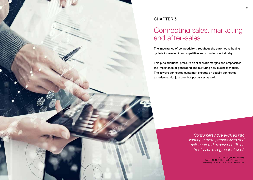

## CHAPTER 3

## Connecting sales, marketing and after-sales

The importance of connectivity throughout the automotive buying cycle is increasing in a competitive and crowded car industry.

This puts additional pressure on slim profit margins and emphasizes the importance of generating and nurturing new business models. The 'always connected customer' expects an equally connected experience. Not just pre- but post-sales as well.

> *"Consumers have evolved into wanting a more personalized and self-centered experience. To be treated as a segment of one."*

> > Source: Capgemini Consulting CARS ONLINE 2015 - The Selfie Experience - The evolving behavior of the connected customer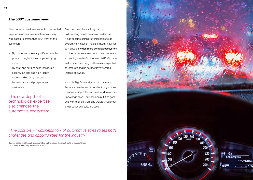## **The 360° customer view**

The connected customer expects a connected experience and car manufacturers are very well placed to create that 360° view of the customer:

- **•** By connecting the many different touchpoints throughout the complete buying cycle.
- **•** By analyzing not just each individual's actions, but also gaining in-depth understanding of typical customer behavior across all prospects and customers.

This new depth of technological expertise also changes the automotive ecosystem. Manufacturers have a long history of collaborating across company borders, as it has become completely impossible to do everything in house. The car industry now has to manage a wider, more complex ecosystem of diverse partners in order to meet the everexpanding needs of customers. R&D efforts as well as manufacturing platforms are expected to integrate and be collaboratively shared instead of owned.

As such, Big Data analytics that car manufacturers can develop extend not only to their own marketing, sales and product development knowledge base. They can also put it to good use with their partners and OEMs throughout the product and sales life cycle.

*"The possible 'Amazonification' of automotive sales raises both challenges and opportunities for the industry."*

Source: Capgemini Consulting, Automotive Online Sales: The direct route to the customer. Cars Online Trend Study, November 2016

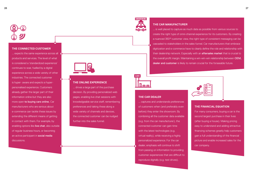#### **THE CONNECTED CUSTOMER**

... expects the same experience across all products and services. The level of what is considered a 'standardized experience' continues to soar, fuelled by a digital experience across a wide variety of other industries. The connected customer is hyper- aware and expects a hyperpersonalised experience. Customers already gather the larger part of their information online but they are also more open to buying cars online. Car manufacturers who are serious about e-commerce can tackle these issues by extending the different means of getting in contact with them. For example, by enabling options like live chat, also outside of regular business hours, or becoming an active participant in social media discussions.



#### **THE ONLINE EXPERIENCE**

... drives a large part of the purchase decision. By providing personalized web pages, enabling live chat sessions with knowledgeable service staff, remembering preferences and taking these along a wide variety of channels and devices, the connected customer can be nudged further into the sales funnel.



#### **THE CAR MANUFACTURER**

... is well placed to capture as much data as possible from various sources to create the right type of omni-channel experience for its customers. By creating a nuanced 360° customer view, the right type of consistent messaging can be cascaded to stakeholders in the sales funnel. Car manufacturers that embrace digitization and e-commerce have to clearly define the role and relationship with their dealership network. Especially with an **aftersales market** that is crucial to the overall profit margin. Maintaining a win-win-win relationship between **OEM.** dealer and customer is likely to remain crucial for the forseeable future.

 $CABC$ 

#### **THE CAR DEALER**

... captures and understands preferences of customers when (and preferably even before) they enter the showroom. By combining all the customer data available (e.g. from the car manufacturer), the connected customer can gain time with the latest technologies (e.g. virtual reality), while receiving a highly personalized experience. For the car dealer, emphasis will continue to shift from passing on information to providing customer experiences that are difficult to reproduce digitally (e.g. test drives).



#### **THE FINANCIAL EQUATION**

For many consumers, buying a car is the second largest purchase in their lives (after buying a house). Making pricing easy to understand and adding attractive financing schemes greatly help customers gain a full understanding of the financial picture and enable increased sales for the car company.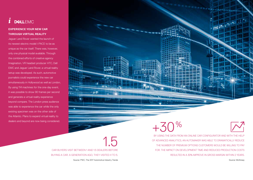## *i*

### **EXPERIENCE YOUR NEW CAR THROUGH VIRTUAL REALITY**

Jaguar Land Rover wanted the launch of its newest electric model I-PACE to be as unique as the car itself. There was, however, only one physical model available. Through the combined efforts of creative agency Imagination, VR headset producer HTC, Dell EMC and Jaguar Land Rover, a virtual reality setup was developed. As such, automotive journalists could experience the new car simultaneously in Hollywood as well as London, By using 114 machines for the one-day event, it was possible to show 90 frames per second and generate a virtual reality experience beyond compare. The London press audience was able to experience the car while the only existing specimen was on the other side of the Atlantic. Plans to expand virtual reality to dealers and beyond are now being considered.

28 29 **BERNARD**  $14.$ 容的  $+30%$ 

> 1.5 CAR BUYERS VISIT BETWEEN 1 AND 1.5 DEALERS BEFORE BUYING A CAR. A GENERATION AGO, THEY VISITED 4 TO 5. Source: PWC, The 2017 Automotive Industry Trends

BY USING THE DATA FROM AN ONLINE CAR CONFIGURATOR AND WITH THE HELP OF ADVANCED ANALYTICS, AN AUTOMAKER WAS ABLE TO DRAMATICALLY REDUCE THE NUMBER OF PREMIUM OPTIONS CUSTOMERS WOULD BE WILLING TO PAY FOR. THE IMPACT ON DEVELOPMENT TIME AND REDUCED PRODUCTION COSTS RESULTED IN A 30% IMPROVE IN GROSS MARGIN WITHIN 2 YEARS.

Source: McKinsey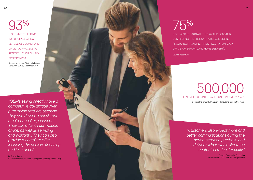93  $\%$ ... OF DRIVERS SEEKING TO PURCHASE A NEW VEHICLE USE SOME FORM OF DIGITAL PROCESS TO RESEARCH THEIR BUYING PREFERENCES.

Source: Accenture Digital Marketing Consumer Survey, December 2014

*"OEMs selling directly have a competitive advantage over pure online retailers because they can deliver a consistent omni-channel experience. They can offer all car models online, as well as servicing and warranty. They can also provide a complete offer including the vehicle, financing and insurance."*

Dr. Rainer Feurer Senior Vice President Sales Strategy and Steering, BMW Group

# 75 %

… OF CAR BUYERS STATE THEY WOULD CONSIDER COMPLETING THE FULL CAR PURCHASE ONLINE (INCLUDING FINANCING, PRICE NEGOTIATION, BACK OFFICE PAPERWORK, AND HOME DELIVERY).

Source: Accenture

# 500,000 THE NUMBER OF CARS TRADED ON EBAY EVERY YEAR.

Source: McKinsey & Company - Innovating automotive retail

*"Customers also expect more and better communications during the period between purchase and delivery. Most would like to be contacted at least weekly."*

> Source: Capgemini Consulting CARS ONLINE 2015 - The Selfie Experience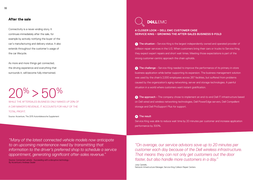#### **After the sale**

Connectivity is a never-ending story. It continues immediately after the sale, for example by actively notifying the buyer of the car's manufacturing and delivery status. It also extends throughout the customer's usage of the car lifecycle.

As more and more things get connected, the driving experience and everything that surrounds it, will become fully intertwined.

# $20\% > 50\%$

WHILE THE AFTERSALES BUSINESS ONLY MAKES UP 20% OF A CAR MAKER'S REVENUE, IT ACCOUNTS FOR HALF OF THE TOTAL PROFIT.

Source: Accenture, The 2015 Autombilewoche Supplement



**A CLOSER LOOK – DELL EMC CUSTOMER CASE SERVICE KING – GROWING THE AFTER-SALES BUSINESS 5-FOLD**

**1** The situation - Service King is the largest independently owned and operated provider of collision repair services in the U.S. When customers bring their cars or trucks to Service King, they expect expert repairs and short wait times. Meeting those expectations is part of the strong customer-centric approach the chain upholds.

**2** The challenge - Service King needed to improve the performance of its primary in-store business application while better supporting its expansion. The business management solution was used by the chain's 2,000 employees across 267 facilities, but suffered from problems caused by the organization's aging networking, server and storage technologies. A painful situation in a world where customers want instant gratification.

**3** The approach - The company chose to implement an end-to-end Dell IT infrastructure based on Dell wired and wireless networking technologies, Dell PowerEdge servers, Dell Compellent storage and Dell ProSupport Plus for support.

#### **<sup>4</sup>** The result

Service King was able to reduce wait time by 20 minutes per customer and increase application performance by 300%.

*"Many of the latest connected vehicle models now anticipate to an upcoming maintenance need by transmitting that information to the driver's preferred shop to schedule a service appointment, generating significant after-sales revenue."*

Source: Connected vehicle - Succeeding with a disruptive technology - By Accenture's Andreas Gissler

*"On average, our service advisors save up to 20 minutes per customer each day because of the Dell wireless infrastructure. That means they can not only get customers out the door faster, but also handle more customers in a day."*

Jody Cantello, Network Infrastructure Manager, Service King Collision Repair Centers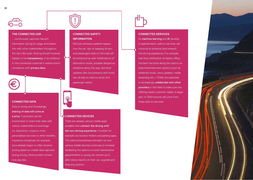#### **THE CONNECTED CAR**

... continuously captures relevant information during its usage and shares this with other stakeholders throughout the car's life cycle. Sharing should however happen in full transparency, in accordance to the connected customer's wishes and in compliance with privacy laws.

#### **CONNECTED DATA**

Data is money and increasingly, sharing of data will come at a price. Customers can be incentivised to share their data with various stakeholders in exchange for reductions, coupons, more personalized services or other benefits. Insurance companies, for example, have already begun to offer dynamic pricing based on mobile data captured during driving. More prudent drivers now pay less.

## **CONNECTED SAFETY INFORMATION**

Not just software updates happen over the air: tips on keeping drivers and passengers safe on the road will be enhanced as well. Notifications of alternative routes, possible dangerous situations along the way, technical updates (like tyre pressure and more) can all help to improve driver and passenger safety.

#### **CONNECTED DEVICES**

There are already various mobile apps available that connect the driving with the non-driving experience. Consider for example car-location finders and parking apps. The interconnectedness between car and various mobile devices continues to increase facilitating the options to book maintenance appointments or giving car owners up to date status reports on their car, upgrade and financing options.



## **CONNECTED SERVICES**

As machine learning and AI develop in sophistication, add-on services will continue to enhance (and extend) the driving experience. For example: real-time notification of nearby offers, the best fuel price along the road or on board entertainment options (such as preferred music, news updates, media streaming etc.). OEMs are expected to increasingly collaborate with other providers in this field to make sure the offering meets customer needs. A larger part of OEM income will come from these add-on services.

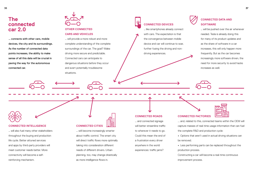## **The connected car 2.0**

… connects with other cars, mobile devices, the city and its surroundings. As the number of connected data points increases, the ability to make sense of all this data will be crucial in paving the way for the autonomous connected car.

# **OTHER CONNECTED CARS AND VEHICLES**

… will provide a more robust and more complete understanding of the complete surroundings of the car. The goal? Make driving more secure and predictable. Connected cars can anticipate to dangerous situations before they occur and avert potentially troublesome situations.

## **CONNECTED DEVICES** … like smartphones already connect

with cars. The expectation is that the convergence between mobile device and car will continue to soar, further fusing the driving and nondriving experiences.

## **CONNECTED DATA AND SOFTWARE**

… will be pushed over the air whenever needed. Tesla is already doing this for many of its product updates and as the share of software in a car increases, this will only happen more frequently. But as the car becomes increasingly more software driven, the need for more security to avoid hacks increases as well.

## **CONNECTED INTELLIGENCE**

… will also fuel many other stakeholders throughout the buying and production life cycle. Better attuned services and apps by third-party providers will meet customer needs better. More connectivity will become a selfreinforcing mechanism.

# **CONNECTED CITIES**

… will become increasingly smarter about traffic control. The smart city will direct traffic flows more optimally taking into consideration different needs of different drivers. Urban planning, too, may change drastically as more intelligence flows in.

#### **CONNECTED ROADS**

… and connected signage will better streamline traffic to wherever it needs to go. Could this mean the end of a frustration every driver anywhere in the world experiences: traffic jams?

# **CONNECTED FACTORIES**

... and, related to this, connected teams within the OEM will capture masses of real-time usage information that can fuel the complete R&D and production cycle:

**•** Options that aren't used in actual driving situations can be removed.

**•** Less performing parts can be replaced throughout the production process.

Constructing a car will become a real-time continuous improvement process.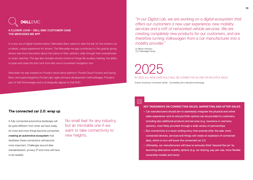# **DEALLEMC**

#### **A CLOSER LOOK – DELL EMC CUSTOMER CASE THE MERCEDES ME APP**

In a new era of digital transformation, Mercedes-Benz wants to raise the bar for the industry via a holistic, unique experience for drivers. The Mercedes me app contributes to this goal by giving drivers real-time information about the status of their vehicle's vitals through their smartphones or smart watches. The app also includes remote control of things like auxiliary heating, the ability to open and close the door lock from afar, and a convenient navigation tool.

Mercedes me was created on Pivotal's cloud native platform, Pivotal Cloud Foundry and Spring Boot, and supercharged by Pivotal Labs' agile software development methodologies. Pivotal is part of Dell Technologies and is strategically aligned to Dell EMC.

*"In our Digital Lab, we are working on a digital ecosystem that offers our customers a new user experience, new mobility services and a raft of networked vehicle services. We are creating completely new products for our customers, and are therefore turning Volkswagen from a car manufacturer into a mobility provider."*

Dr Martin Hofmann, CIO Volkswagen Group

2025 BY 2025, ALL NEW CARS SOLD WILL BE CONNECTED IN ONE OR MULTIPLE WAYS. Source: Accenture, Connected vehicle - Succeeding with a disruptive technology

### **The connected car 2.0: wrap up**

A fully connected automotive landscape will be quite different from what we have today. As more and more things become connected, creating an automotive ecosystem that facilitates these connections will become more important. Challenges around data standardization, privacy, IP and more will have to be tackled.

No small feat for any industry, but an inevitable one if we want to take connectivity to new heights.

## Ešl

#### **KEY TAKEAWAYS ON CONNECTING SALES, MARKETING AND AFTER-SALES**

- **•** Car manufacturers should aim to seamlessly integrate the physical and online sales experience: end-to-end portfolio options can be provided to customers, including also additional products and services (e.g. insurance or warranty options), most likely provided through a wide variety of partnerships
- **•** But connectivity is a never-ending story that extends after the sale: more connected devices, services and things will create an explosion of connected data, which in turn will boost the connected car 2.0
- **•** Ultimately, car manufacturers will have to seriously think 'beyond the car' by launching alternative mobility options (e.g. car sharing, pay-per-use, more flexible ownership models and more).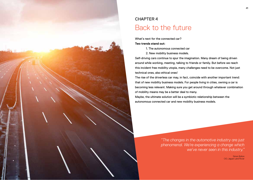

# CHAPTER 4 Back to the future

What's next for the connected car?

#### **Two trends stand out:**

- 1. The autonomous connected car
- 2. New mobility business models.

Self-driving cars continue to spur the imagination. Many dream of being driven around while working, meeting, talking to friends or family. But before we reach this incident free mobility utopia, many challenges need to be overcome. Not just technical ones, also ethical ones!

The rise of the driverless car may, in fact, coincide with another important trend: that of new mobility business models. For people living in cities, owning a car is becoming less relevant. Making sure you get around through whatever combination of mobility means may be a better deal to many.

Maybe, the ultimate solution will be a symbiotic relationship between the autonomous connected car and new mobility business models.

> *"The changes in the automotive industry are just phenomenal. We're experiencing a change which we've never seen in this industry."*

> > Simon Bolton CIO, Jaguar Land Rover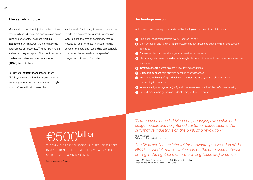### **The self-driving car**

Many analysts consider it just a matter of time before fully self-driving cars become a common sight on our streets. The more **Artificial** Intelligence (AI) matures, the more likely the autonomous car becomes. The self-parking car is already widely accepted. The drastic increase in advanced driver-assistance systems (ADAS) is crucial here.

As the level of autonomy increases, the number of different systems being used increases as well. As does the level of complexity that is needed to run all of these in unison. Making sense of the data and responding appropriately is an extra challenge while the speed of progress continues to fluctuate.

But general industry standards for these ADAS systems are still in flux. Many different settings (camera centric, radar centric or hybrid solutions) are still being researched.

#### **Technology unison**

Autonomous vehicles rely on a myriad of technologies that need to work in unison:

- **1** The global positioning system (GPS) locates the car
- **2** Light detection and ranging (lidar) systems use light beams to estimate distances between obstacles
- **<sup>3</sup>** Cameras collect additional images that need to be processed
- **4** Electromagnetic waves or radar technologies bounce off on objects and determine speed and distances
- **5** Infrared sensors detect objects in low lighting conditions
- **6** Ultrasonic sensors help out with handling short distances
- **7** Vehicle-to-vehicle (V2V) and vehicle-to-infrastructure systems collect additional surrounding information
- **8** Internal navigation systems (INS) and odometers keep track of the car's inner workings
- **9** Prebuilt maps aid in gaining an understanding of the environment

Mike Woodward **E500 Dillion**<br>
Mike Woodward<br>
Mike Woodward<br>
Mike Woodward<br>
Mike Woodward<br>
Mike Woodward<br>
The OFO Control of the UK Automotive Industry Lead billion

THE TOTAL BUSINESS VALUE OF CONNECTED CAR SERVICES BY 2025. THIS INCLUDES SERVICE FEES, 3<sup>RD</sup> PARTY ACCESS. OVER-THE-AIR UPGRADES AND MORE.

Source: Accenture Strategy

*"Autonomous or self-driving cars, changing ownership and usage models and heightened customer expectations; the automotive industry is on the brink of a revolution."*

*The 95% confidence interval for horizontal geo-location of the GPS is around 8 metres, which can be the difference between driving in the right lane or in the wrong (opposite) direction.*

Source: McKinsey & Company Report - Self-driving car technology: When will the robots hit the road? (May 2017)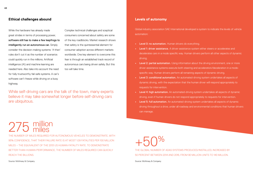## **Ethical challenges abound**

While the hardware has already made great strides in terms of processing power, software still has to make a few leapfrogs to intelligently run an autonomous car. Simply consider the decision-making systems: 'if-then' rules don't cut it as the number of scenarios could quickly run in the millions. Artificial intelligence (AI) and machine learning are needed here. Also take into account the need for fully trustworthy fail-safe systems. A car's software can't freeze while driving on a busy highway.

Complex technical challenges and sceptical consumers concerned about safety are some of the key roadblocks. Market research shows that safety is the quintessential element for consumer adoption across different markets worldwide. One key element to overcome this fear is through an established track record of autonomous cars being driven safely. But this too will take time.

While self-driving cars are the talk of the town, many experts believe it may take somewhat longer before self-driving cars are ubiquitous.

#### **Levels of autonomy**

Global industry association SAE International developed a system to indicate the levels of vehicle automation:

- **•** Level 0: no automation. Human drivers do everything.
- **•** Level 1: driver assistance. A driver-assistance system either steers or accelerates and decelerates cars in a mode specific way. Human drivers perform all other aspects of dynamic driving.
- **•** Level 2: partial automation. Using information about the driving environment, one or more driver-assistance systems execute both steering and acceleration/deceleration in a modespecific way. Human drivers perform all remaining aspects of dynamic driving.
- **•** Level 3: conditional automation. An automated-driving system undertakes all aspects of dynamic driving, with the expectation that the human driver will respond appropriately to requests for intervention.
- **•** Level 4: high automation. An automated-driving system undertakes all aspects of dynamic driving, even if human drivers do not respond appropriately to requests for intervention.
- **•** Level 5: full automation. An automated-driving system undertakes all aspects of dynamic driving throughout a drive, under all roadway and environmental conditions that human drivers can manage.

275 million

THE NUMBER OF MILES REQUIRED FOR AUTONOMOUS VEHICLES TO DEMONSTRATE, WITH 95% CONFIDENCE, THAT THEIR FAILURE RATE IS AT MOST 1.09 FATALITIES PER 100 MILLION MILES – THE EQUIVALENT OF THE 2013 US HUMAN-FATALITY RATE. TO DEMONSTRATE BETTER-THAN-HUMAN-PERFORMANCE, THE NUMBER OF MILES REQUIRED CAN QUICKLY REACH THE BILLIONS.

+50%

THE GLOBAL NUMBER OF ADAS SYSTEMS PRODUCED/INSTALLED, INCREASED BY 50 PERCENT BETWEEN 2014 AND 2016, FROM 90 MILLION UNITS TO 140 MILLION.

Source: McKinsey & Company

Source: McKinsey & Company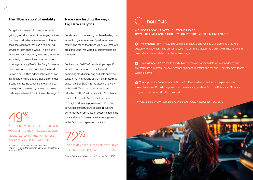## **The 'Uberization' of mobility**

Being driven instead of driving yourself is gaining ground, especially in emerging nations like China and India, where almost half of all consumers indicate they use a ride-hailing service at least once a week. This is also a tendency that's fuelled by Millennials who are more likely to use such services compared to other age groups (Gen X, the Baby Boomers). These younger drivers don't feel the need to own a car, putting additional stress on car manufacturers and dealers. Being able to get around is gradually becoming more important than getting there with your own car. How well-prepared are OEMs to these challenges?

performance, enabling faster access to real-time<br>data analytics for better race car re-engineering<br>in the factory and speed on the track. % A STUDY SHOWED THAT 1 IN 2 CONSUMERS WOULD RATHER BUY A FLEXIBLE MOBILITY MODEL (E.G. CAR SHARE, PAY-PER-USE) ONLINE THAN JUST BUYING A CAR.

Source: CapGemini, Automotive Online Sales: The direct route to the customer. Cars Online Trend Study, November 2016

## **Race cars leading the way of Big Data analytics**

For decades, motor racing has been leading the innovation game in terms of performance and safety. The car of the future will surely integrate breakthroughs that were first implemented on the track.

For instance, Dell EMC has developed specific infrastructure solutions for motorsport, combining cloud computing and data analytics together with Intel. One of the most prestigious customers Dell EMC has the pleasure to work with, is a F1 Team that re-engineered and refreshed its IT infrastructure with VCE Vblock Systems from Dell EMC as the foundation of a high-performing private cloud. The new converged infrastructure doubled IT system performance, enabling faster access to real-time

72% … OF GERMAN CONSUMERS DON'T FEEL THAT SELF-DRIVING VEHICLES WILL BE FULLY SAFE.

Source: Deloitte Global Automotive Consumer Study, 2017



**A CLOSER LOOK – PIVOTAL CUSTOMER CASE\* BMW – BIG DATA ANALYTICS KEY FOR PREDICTIVE CAR MAINTENANCE**

**1** The situation - BMW listed Big Data and predictive analytics as vital elements of future customer engagement. The primary goal of the car manufacturer is predictive maintenance and being able to detect defects at the earliest stage.

**2** The challenge - BMW has to handle big volumes of incoming data while considering and protecting its customers' privacy. Another challenge is getting the car and IT development teams working in sync.

**<sup>3</sup>** The approach - BMW uses the Pivotal Big Data analytics platform to help overcome these challenges. Pivotal components and analytical algorithms from the IT team at BMW are integrated and enriched in the back end.

*\* Pivotal is part of Dell Technologies and is strategically aligned with Dell EMC*

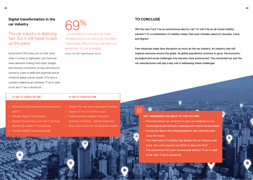The car industry is digitizing fast. But it still needs to pick up the pace!

Automotive CIOs have a lot on their mind when it comes to digitization, but there are many elements holding them back: budget and resource constraints, privacy and security concerns, a lack of skills and expertise and an immature digital culture overall. CIOs face a constant balancing act between 'IT-as-it-usedto-be' and 'IT-as-it-should-be':



… OF AUTOMOTIVE CIOS BELIEVE THEIR ORGANIZATION IS HELD BACK BY TOO MANY TRADITIONAL APPLICATIONS THAT ARE STILL IMPORTANT TO THE BUSINESS.

Source: The EMC Digital Business Survey

## **TO CONCLUDE**

 $\Xi$ 

Will the next Ford T be an autonomous electric car? Or will it be an all-round mobility solution? Or a combination of mobility means that even includes (electric) bicycles, trains and flights?

Few industries today face disruption as much as the car industry. An industry that still impacts everyone around the globe. As global populations continue to grow, the economic, ecological and social challenges only become more pronounced. The connected car and the car manufacturers will play a key role in addressing these challenges.

#### **IT-AS-IT-USED-TO-BE**

#### **IT-AS-IT-SHOULD-BE**

- **•** Secure and optimize existing enterprise and plant IT
- **•** Manage Digital Transformation
- **•** Support the business units with IT services
- **•** Become an enabler of the business
- **•** Provide flexible IT services globally
- **•** Support the new era of automotive business
- Support 2<sup>nd</sup> and 3<sup>rd</sup> platform apps
- **•** Enable seamless supplier interaction -
- customer interaction partner interaction
- **•** Be an active driver for new business models

## **KEY TAKEAWAYS ON BACK TO THE FUTURE**

- **•** The autonomous car continues to spur our imagination, but technological (and ethical) challenges still need to be answered
- **•** Connected data is the unifying element: who owns the data owns the future
- **•** The Uberization of mobility may disrupt the car industry even more. How well prepared are OEMs to deal with this?
- **•** The automotive CIO must continuously balance 'IT-as-it-usedto-be' with 'IT-as-it-should-be'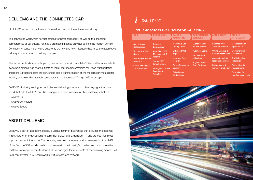## DELL EMC AND THE CONNECTED CAR

DELL EMC modernizes, automates & transforms across the automotive industry.

The connected world, with its vast options for personal mobility, as well as the changing demographics of car buyers, has had a dramatic influence on what defines the modern vehicle. Connectivity, agility, mobility and autonomy are new and key influences that force the automotive industry to make ground-breaking changes.

The future car landscape is shaped by fuel economy, environmental efficiency, alternative vehicle ownership options, ride sharing, fleets of (semi-)autonomous vehicles for urban transportation, and more. All these factors are converging into a transformation of the modern car into a digital mobility end-point that actively participates in the Internet of Things (IoT) landscape.

Dell EMC's industry leading technologies are delivering solutions to this emerging automotive world that help the OEMs and Tier 1 suppliers develop vehicles for their customers that are:

- **•** Always On
- **•** Always Connected
- **•** Always Secure

## ABOUT DELL EMC

Dell EMC is part of Dell Technologies, a unique family of businesses that provides the essential infrastructure for organizations to build their digital future, transform IT, and protect their most important asset, information. The company services customers of all sizes—ranging from 98% of the Fortune 500 to individual consumers—with the industry's broadest and most innovative portfolio from edge to core to cloud. Dell Technologies family consists of the following brands: Dell, Dell EMC, Pivotal, RSA, SecureWorks, Virtustream, and VMware.

## *i***DEALEMC**

#### **DELL EMC ACROSS THE AUTOMOTIVE VALUE CHAIN**

| R&D                          | <b>PRODUCTION</b>              | <b>SALES &amp;</b><br><b>MARKETING</b> | <b>CAR FINANCIAL</b><br><b>SERVICES</b> | <b>AFTER SALES</b>      | <b>MOBILE</b><br><b>INTERACTION</b>    |
|------------------------------|--------------------------------|----------------------------------------|-----------------------------------------|-------------------------|----------------------------------------|
| <b>Supply Chain</b>          | Production                     | <b>Innovative Car</b>                  | <b>Customer Self-</b>                   | <b>Enhance After</b>    | <b>Connected Car</b>                   |
| Collaboration                | Engineering                    | Configurators                          | <b>Service Portals</b>                  | <b>Sales Experience</b> | <b>Applications</b>                    |
| <b>Test Vehicle File</b>     | <b>Auto Plant SOP</b>          | <b>Enhanced Web</b>                    | <b>Automate Loans</b>                   | Online Manuals &        | <b>Customer Mobile</b>                 |
| Share                        | Management &                   | <b>Engines</b>                         | <b>Improve Asset</b>                    | Service Information     | Interaction                            |
| <b>HPC Engine Test &amp;</b> | <b>Insights</b>                | Improved Brand                         | <b>Utilization</b>                      | Automate fault &        | <b>Traffic Incident</b>                |
| Analytics                    | <b>Secure MES</b>              | <b>Identity</b>                        |                                         | recall management       | Prediction                             |
| <b>CAD/CAM Design</b>        | Infrastructure                 | <b>Online Dealership</b>               | <b>Augment Post-</b>                    | Maintenance &           | Driver identify                        |
| <b>Infrastructures</b>       | <b>Intelligent Machine</b>     | <b>Security</b>                        | <b>Sales Business</b>                   | warranty prediction     | management                             |
|                              | Learning &<br><b>Analytics</b> | <b>Sales Funnel</b><br>Optimization    |                                         |                         | Data lakes for<br>mobility value chain |

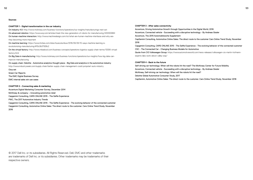#### **Sources**

#### **CHAPTER 1 - Digital transformation in the car industry**

On Industry 4.0: http://www.mckinsey.com/business-functions/operations/our-insights/manufacturings-next-act On advanced robotics: https://www.wsj.com/articles/meet-the-new-generation-of-robots-for-manufacturing-1433300884 On human-machine interaction: http://www.machinedesign.com/iot/what-are-human-machine-interfaces-and-why-arethey-becoming-more-important

On machine learning: https://www.forbes.com/sites/louiscolumbus/2016/06/26/10-ways-machine-learning-isrevolutionizing-manufacturing/#10c3b37928c2

On the virtual factory: http://www.mbaskool.com/business-concepts/operations-logistics-supply-chain-terms/13306-virtualfactory.html

On Big Data in manufacturing: http://www.mckinsey.com/business-functions/operations/our-insights/how-big-data-canimprove-manufacturing

#### On supply chain: Deloitte - Automotive analytics thought piece - Big Data and analytics in the automotive industry

http://www.industryweek.com/supply-chain/better-supply-chain-management-could-jumpstart-auto-industry

Oica.net Green Car Reports The EMC Digital Business Survey EMC internal sales win use cases

#### **CHAPTER 2 - Connecting sales & marketing**

Accenture Digital Marketing Consumer Survey, December 2014 McKinsey & company – Innovating automotive retail Capgemini Consulting, CARS ONLINE 2015 - The Selfie Experience PWC, The 2017 Automotive Industry Trends Capgemini Consulting, CARS ONLINE 2015 - The Selfie Experience - The evolving behavior of the connected customer Capgemini Consulting, Automotive Online Sales: The direct route to the customer. Cars Online Trend Study, November 2016

#### **CHAPTER 3 - After sales connectivity**

Accenture, Driving Automotive Growth through Opportunities in the Digital World, 2016 Accenture, Connected vehicle - Succeeding with a disruptive technology - By Andreas Gissler Accenture, The 2015 Automobilwoche Supplement CapGemini Consulting, Automotive Online Sales: The direct route to the customer Cars Online Trend Study, November 2016 Capgemini Consulting, CARS ONLINE 2015 - The Selfie Experience - The evolving behavior of the connected customer CSC - The Connected Car - Changing Business Models for Automotive Quote from CIO Volkswagen Group: https://www.automotiveworld.com/news-releases/volkswagen-cio-martin-hofmann-

experts-labs-work-silicon-valley-way/

#### **CHAPTER 4 - Back to the future**

Self-driving car technology: When will the robots hit the road? The McKinsey Center for Future Mobility Accenture, Connected vehicle - Succeeding with a disruptive technology - By Andreas Gissler McKinsey, Self-driving car technology: When will the robots hit the road? Deloitte Global Automotive Consumer Study, 2017 CapGemini, Automotive Online Sales: The direct route to the customer. Cars Online Trend Study, November 2016

© 2017 Dell Inc. or its subsidiaries. All Rights Reserved. Dell, EMC and other trademarks are trademarks of Dell Inc. or its subsidiaries. Other trademarks may be trademarks of their respective owners.